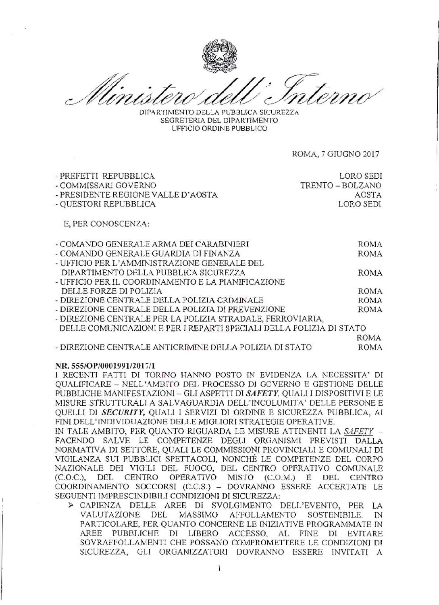DIPARTIMENTO DELLA PUBBLICA SICUREZZA SEGRETERIA DEL DIPARTIMENTO UFFICIO ORDINE PUBBLICO

ROMA, 7 GIUGNO 2017

| - PREFETTI REPUBBLICA              | LORO SEDI        |
|------------------------------------|------------------|
| - COMMISSARI GOVERNO               | TRENTO - BOLZANO |
| - PRESIDENTE REGIONE VALLE D'AOSTA | AOSTA            |
| - QUESTORI REPUBBLICA              | LORO SEDI        |
| E, PER CONOSCENZA:                 |                  |

| - COMANDO GENERALE ARMA DEI CARABINIERI                             | <b>ROMA</b> |
|---------------------------------------------------------------------|-------------|
| - COMANDO GENERALE GUARDIA DI FINANZA                               | ROMA        |
| - UFFICIO PER L'AMMINISTRAZIONE GENERALE DEL                        |             |
| DIPARTIMENTO DELLA PUBBLICA SICUREZZA                               | ROMA        |
| - UFFICIO PER IL COORDINAMENTO E LA PIANIFICAZIONE                  |             |
| DELLE FORZE DI POLIZIA                                              | <b>ROMA</b> |
| - DIREZIONE CENTRALE DELLA POLIZIA CRIMINALE                        | <b>ROMA</b> |
| - DIREZIONE CENTRALE DELLA POLIZIA DI PREVENZIONE                   | ROMA        |
| - DIREZIONE CENTRALE PER LA POLIZIA STRADALE, FERROVIARIA,          |             |
| DELLE COMUNICAZIONI E PER I REPARTI SPECIALI DELLA POLIZIA DI STATO |             |
|                                                                     | ROMA        |

- DIREZIONE CENTRALE ANTICRIMINE DELLA POLIZIA DI STATO **ROMA** 

## NR. 555/OP/0001991/2017/1

I RECENTI FATTI DI TORINO HANNO POSTO IN EVIDENZA LA NECESSITA' DI OUALIFICARE - NELL'AMBITO DEL PROCESSO DI GOVERNO E GESTIONE DELLE PUBBLICHE MANIFESTAZIONI - GLI ASPETTI DI SAFETY. QUALI I DISPOSITIVI E LE MISURE STRUTTURALI A SALVAGUARDIA DELL'INCOLUMITA' DELLE PERSONE E OUELLI DI SECURITY, OUALI I SERVIZI DI ORDINE E SICUREZZA PUBBLICA, AI FINI DELL'INDIVIDUAZIONE DELLE MIGLIORI STRATEGIE OPERATIVE.

IN TALE AMBITO, PER QUANTO RIGUARDA LE MISURE ATTINENTI LA SAFETY -FACENDO SALVE LE COMPETENZE DEGLI ORGANISMI PREVISTI DALLA NORMATIVA DI SETTORE, QUALI LE COMMISSIONI PROVINCIALI E COMUNALI DI VIGILANZA SUI PUBBLICI SPETTACOLI, NONCHÉ LE COMPETENZE DEL CORPO NAZIONALE DEI VIGILI DEL FUOCO, DEL CENTRO OPERATIVO COMUNALE  $(C.O.C.)$ , DEL **CENTRO** OPERATIVO MISTO (C.O.M.) E DEL **CENTRO** COORDINAMENTO SOCCORSI (C.C.S.) - DOVRANNO ESSERE ACCERTATE LE SEGUENTI IMPRESCINDIBILI CONDIZIONI DI SICUREZZA:

> CAPIENZA DELLE AREE DI SVOLGIMENTO DELL'EVENTO, PER LA VALUTAZIONE DEL MASSIMO AFFOLLAMENTO SOSTENIBILE. IN PARTICOLARE, PER QUANTO CONCERNE LE INIZIATIVE PROGRAMMATE IN AREE PUBBLICHE DI LIBERO ACCESSO, AL FINE DI EVITARE SOVRAFFOLLAMENTI CHE POSSANO COMPROMETTERE LE CONDIZIONI DI SICUREZZA, GLI ORGANIZZATORI DOVRANNO ESSERE INVITATI A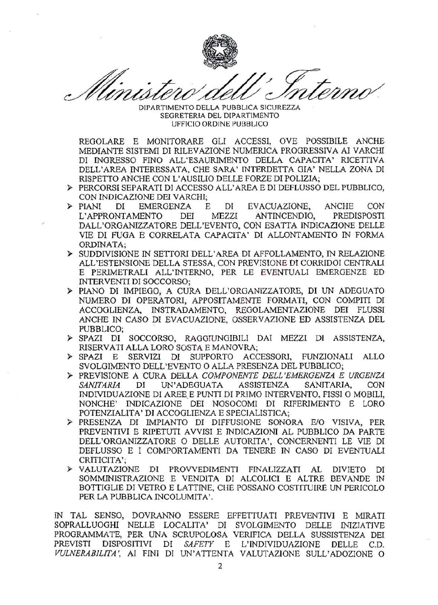

DIPARTIMENTO DELLA PUBBLICA SICUREZZA SEGRETERIA DEL DIPARTIMENTO UFFICIO ORDINE PUBBLICO

REGOLARE E MONITORARE GLI ACCESSI. OVE POSSIBILE ANCHE MEDIANTE SISTEMI DI RILEVAZIONE NUMERICA PROGRESSIVA AI VARCHI DI INGRESSO FINO ALL'ESAURIMENTO DELLA CAPACITA' RICETTIVA DELL'AREA INTERESSATA, CHE SARA' INTERDETTA GIA' NELLA ZONA DI RISPETTO ANCHE CON L'AUSILIO DELLE FORZE DI POLIZIA;

- > PERCORSI SEPARATI DI ACCESSO ALL'AREA E DI DEFLUSSO DEL PUBBLICO, CON INDICAZIONE DEI VARCHI:
- $\triangleright$  PIANI DI **EMERGENZA** E. DI EVACUAZIONE, **ANCHE** CON L'APPRONTAMENTO DEI MEZZI ANTINCENDIO, PREDISPOSTI DALL'ORGANIZZATORE DELL'EVENTO, CON ESATTA INDICAZIONE DELLE VIE DI FUGA E CORRELATA CAPACITA' DI ALLONTAMENTO IN FORMA ORDINATA:
- > SUDDIVISIONE IN SETTORI DELL'AREA DI AFFOLLAMENTO, IN RELAZIONE ALL'ESTENSIONE DELLA STESSA, CON PREVISIONE DI CORRIDOI CENTRALI E PERIMETRALI ALL'INTERNO, PER LE EVENTUALI EMERGENZE ED INTERVENTI DI SOCCORSO;
- > PIANO DI IMPIEGO, A CURA DELL'ORGANIZZATORE, DI UN ADEGUATO NUMERO DI OPERATORI, APPOSITAMENTE FORMATI, CON COMPITI DI ACCOGLIENZA, INSTRADAMENTO, REGOLAMENTAZIONE DEI FLUSSI ANCHE IN CASO DI EVACUAZIONE, OSSERVAZIONE ED ASSISTENZA DEL PUBBLICO:
- > SPAZI DI SOCCORSO, RAGGIUNGIBILI DAI MEZZI DI ASSISTENZA, RISERVATI ALLA LORO SOSTA E MANOVRA;
- SERVIZI DI SUPPORTO ACCESSORI, FUNZIONALI ALLO  $\triangleright$  SPAZI E SVOLGIMENTO DELL'EVENTO O ALLA PRESENZA DEL PUBBLICO:
- > PREVISIONE A CURA DELLA COMPONENTE DELL'EMERGENZA E URGENZA ASSISTENZA **SANITARIA** DI UN'ADEGUATA SANITARIA, CON INDIVIDUAZIONE DI AREE E PUNTI DI PRIMO INTERVENTO, FISSI O MOBILI. NONCHE' INDICAZIONE DEI NOSOCOMI DI RIFERIMENTO E LORO POTENZIALITA' DI ACCOGLIENZA E SPECIALISTICA;
- > PRESENZA DI IMPIANTO DI DIFFUSIONE SONORA E/O VISIVA, PER PREVENTIVI E RIPETUTI AVVISI E INDICAZIONI AL PUBBLICO DA PARTE DELL'ORGANIZZATORE O DELLE AUTORITA', CONCERNENTI LE VIE DI DEFLUSSO E I COMPORTAMENTI DA TENERE IN CASO DI EVENTUALI CRITICITA':
- > VALUTAZIONE DI PROVVEDIMENTI FINALIZZATI AL DIVIETO DI SOMMINISTRAZIONE E VENDITA DI ALCOLICI E ALTRE BEVANDE IN BOTTIGLIE DI VETRO E LATTINE, CHE POSSANO COSTITUIRE UN PERICOLO PER LA PUBBLICA INCOLUMITA'.

IN TAL SENSO, DOVRANNO ESSERE EFFETTUATI PREVENTIVI E MIRATI SOPRALLUOGHI NELLE LOCALITA' DI SVOLGIMENTO DELLE INIZIATIVE PROGRAMMATE, PER UNA SCRUPOLOSA VERIFICA DELLA SUSSISTENZA DEI PREVISTI DISPOSITIVI DI SAFETY E L'INDIVIDUAZIONE DELLE C.D. VULNERABILITA', AI FINI DI UN'ATTENTA VALUTAZIONE SULL'ADOZIONE O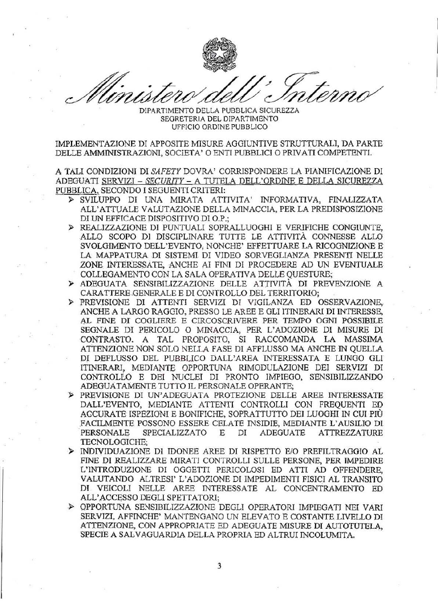

DIPARTIMENTO DELLA PUBBLICA SICUREZZA SEGRETERIA DEL DIPARTIMENTO UFFICIO ORDINE PUBBLICO

IMPLEMENTAZIONE DI APPOSITE MISURE AGGIUNTIVE STRUTTURALI, DA PARTE DELLE AMMINISTRAZIONI, SOCIETA' O ENTI PUBBLICI O PRIVATI COMPETENTI.

A TALI CONDIZIONI DI SAFETY DOVRA' CORRISPONDERE LA PIANIFICAZIONE DI ADEGUATI SERVIZI - SECURITY - A TUTELA DELL'ORDINE E DELLA SICUREZZA PUBBLICA, SECONDO I SEGUENTI CRITERI:

- > SVILUPPO DI UNA MIRATA ATTIVITA' INFORMATIVA, FINALIZZATA ALL'ATTUALE VALUTAZIONE DELLA MINACCIA, PER LA PREDISPOSIZIONE DI UN EFFICACE DISPOSITIVO DI O.P.;
- > REALIZZAZIONE DI PUNTUALI SOPRALLUOGHI E VERIFICHE CONGIUNTE, ALLO SCOPO DI DISCIPLINARE TUTTE LE ATTIVITÀ CONNESSE ALLO SVOLGIMENTO DELL'EVENTO, NONCHE' EFFETTUARE LA RICOGNIZIONE E LA MAPPATURA DI SISTEMI DI VIDEO SORVEGLIANZA PRESENTI NELLE ZONE INTERESSATE, ANCHE AI FINI DI PROCEDERE AD UN EVENTUALE COLLEGAMENTO CON LA SALA OPERATIVA DELLE QUESTURE;
- > ADEGUATA SENSIBILIZZAZIONE DELLE ATTIVITÀ DI PREVENZIONE A CARATTERE GENERALE E DI CONTROLLO DEL TERRITORIO;
- > PREVISIONE DI ATTENTI SERVIZI DI VIGILANZA ED OSSERVAZIONE. ANCHE A LARGO RAGGIO, PRESSO LE AREE E GLI ITINERARI DI INTERESSE, AL FINE DI COGLIERE E CIRCOSCRIVERE PER TEMPO OGNI POSSIBILE SEGNALE DI PERICOLO O MINACCIA, PER L'ADOZIONE DI MISURE DI CONTRASTO. A TAL PROPOSITO, SI RACCOMANDA LA MASSIMA ATTENZIONE NON SOLO NELLA FASE DI AFFLUSSO MA ANCHE IN QUELLA DI DEFLUSSO DEL PUBBLICO DALL'AREA INTERESSATA E LUNGO GLI ITINERARI, MEDIANTE OPPORTUNA RIMODULAZIONE DEI SERVIZI DI CONTROLLO E DEI NUCLEI DI PRONTO IMPIEGO, SENSIBILIZZANDO ADEGUATAMENTE TUTTO IL PERSONALE OPERANTE;
- > PREVISIONE DI UN'ADEGUATA PROTEZIONE DELLE AREE INTERESSATE DALL'EVENTO, MEDIANTE ATTENTI CONTROLLI CON FREQUENTI ED ACCURATE ISPEZIONI E BONIFICHE, SOPRATTUTTO DEI LUOGHI IN CUI PIÙ FACILMENTE POSSONO ESSERE CELATE INSIDIE, MEDIANTE L'AUSILIO DI PERSONALE SPECIALIZZATO E DI ADEGUATE **ATTREZZATURE** TECNOLOGICHE:
- > INDIVIDUAZIONE DI IDONEE AREE DI RISPETTO E/O PREFILTRAGGIO AL FINE DI REALIZZARE MIRATI CONTROLLI SULLE PERSONE, PER IMPEDIRE L'INTRODUZIONE DI OGGETTI PERICOLOSI ED ATTI AD OFFENDERE. VALUTANDO ALTRESI' L'ADOZIONE DI IMPEDIMENTI FISICI AL TRANSITO DI VEICOLI NELLE AREE INTERESSATE AL CONCENTRAMENTO ED ALL'ACCESSO DEGLI SPETTATORI;
- > OPPORTUNA SENSIBILIZZAZIONE DEGLI OPERATORI IMPIEGATI NEI VARI SERVIZI, AFFINCHE' MANTENGANO UN ELEVATO E COSTANTE LIVELLO DI ATTENZIONE, CON APPROPRIATE ED ADEGUATE MISURE DI AUTOTUTELA. SPECIE A SALVAGUARDIA DELLA PROPRIA ED ALTRUI INCOLUMITA.